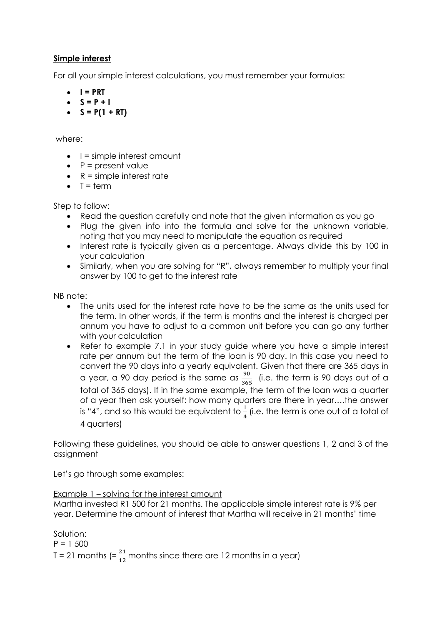# **Simple interest**

For all your simple interest calculations, you must remember your formulas:

- $I = PRT$
- $S = P + I$
- $S = P(1 + RT)$

where:

- $\bullet$   $\vdash$  = simple interest amount
- $\bullet$   $P =$  present value
- $\cdot$   $R =$  simple interest rate
- $T = term$

Step to follow:

- Read the question carefully and note that the given information as you go
- Plug the given info into the formula and solve for the unknown variable, noting that you may need to manipulate the equation as required
- Interest rate is typically given as a percentage. Always divide this by 100 in your calculation
- Similarly, when you are solving for "R", always remember to multiply your final answer by 100 to get to the interest rate

NB note:

- The units used for the interest rate have to be the same as the units used for the term. In other words, if the term is months and the interest is charged per annum you have to adjust to a common unit before you can go any further with your calculation
- Refer to example 7.1 in your study guide where you have a simple interest rate per annum but the term of the loan is 90 day. In this case you need to convert the 90 days into a yearly equivalent. Given that there are 365 days in a year, a 90 day period is the same as  $\frac{90}{365}$  (i.e. the term is 90 days out of a total of 365 days). If in the same example, the term of the loan was a quarter of a year then ask yourself: how many quarters are there in year….the answer is "4", and so this would be equivalent to  $\frac{1}{4}$  (i.e. the term is one out of a total of 4 quarters)

Following these guidelines, you should be able to answer questions 1, 2 and 3 of the assignment

Let's go through some examples:

# Example 1 – solving for the interest amount

Martha invested R1 500 for 21 months. The applicable simple interest rate is 9% per year. Determine the amount of interest that Martha will receive in 21 months' time

Solution:  $P = 1,500$ T = 21 months (=  $\frac{21}{12}$  months since there are 12 months in a year)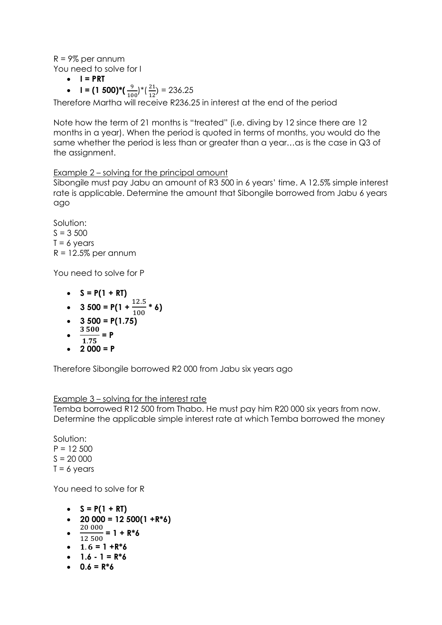#### $R = 9\%$  per annum You need to solve for I

- $I = PRT$
- **I = (1 500)\*(** $\frac{9}{100}$ )\*( $\frac{21}{12}$ ) = 236.25

Therefore Martha will receive R236.25 in interest at the end of the period

Note how the term of 21 months is "treated" (i.e. diving by 12 since there are 12 months in a year). When the period is quoted in terms of months, you would do the same whether the period is less than or greater than a year…as is the case in Q3 of the assignment.

## Example 2 – solving for the principal amount

Sibongile must pay Jabu an amount of R3 500 in 6 years' time. A 12.5% simple interest rate is applicable. Determine the amount that Sibongile borrowed from Jabu 6 years ago

Solution:  $S = 3,500$  $T = 6$  years  $R = 12.5%$  per annum

You need to solve for P

- $S = P(1 + RT)$
- $3\,500 = P(1 + \frac{12.5}{100} * 6)$
- **3 500 = P(1.75)**
- $\frac{3500}{155}$
- $\frac{1.388}{1.75}$  = P
- $2000 = P$

Therefore Sibongile borrowed R2 000 from Jabu six years ago

## Example 3 – solving for the interest rate

Temba borrowed R12 500 from Thabo. He must pay him R20 000 six years from now. Determine the applicable simple interest rate at which Temba borrowed the money

Solution:  $P = 12,500$  $S = 20000$  $T = 6$  years

You need to solve for R

- $S = P(1 + RT)$
- $\cdot$  **20 000** = 12 **500(1** + R\*6)
- $\frac{20000}{10.788}$
- $\frac{25888}{12500}$  = 1 + R<sup>\*</sup>6
- $\bullet$  1.6 = 1 + R<sup>\*</sup>6  $\bullet$  1.6 - 1 =  $R^*$ 6
- 
- $0.6 = R^*6$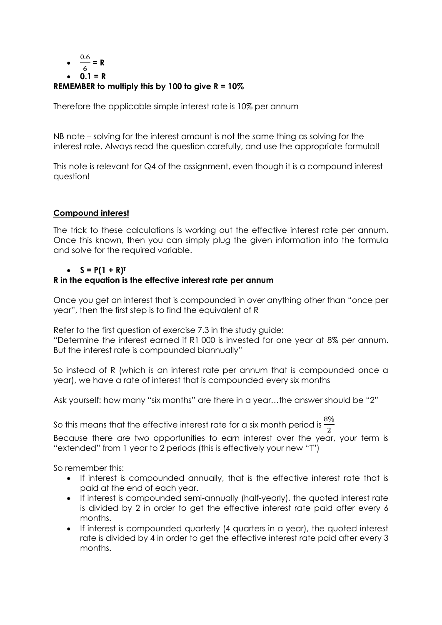• 
$$
\frac{0.6}{6} = R
$$
  
\n• 0.1 = R  
\nREMEMBER to multiply this by 100 to give R = 10%

Therefore the applicable simple interest rate is 10% per annum

NB note – solving for the interest amount is not the same thing as solving for the interest rate. Always read the question carefully, and use the appropriate formula!!

This note is relevant for Q4 of the assignment, even though it is a compound interest question!

#### **Compound interest**

The trick to these calculations is working out the effective interest rate per annum. Once this known, then you can simply plug the given information into the formula and solve for the required variable.

#### •  $S = P(1 + R)^T$

#### **R in the equation is the effective interest rate per annum**

Once you get an interest that is compounded in over anything other than "once per year", then the first step is to find the equivalent of R

Refer to the first question of exercise 7.3 in the study guide:

"Determine the interest earned if R1 000 is invested for one year at 8% per annum. But the interest rate is compounded biannually"

So instead of R (which is an interest rate per annum that is compounded once a year), we have a rate of interest that is compounded every six months

Ask yourself: how many "six months" are there in a year…the answer should be "2"

So this means that the effective interest rate for a six month period is  $\frac{8\%}{2}$ 

Because there are two opportunities to earn interest over the year, your term is "extended" from 1 year to 2 periods (this is effectively your new "T")

So remember this:

- If interest is compounded annually, that is the effective interest rate that is paid at the end of each year.
- If interest is compounded semi-annually (half-yearly), the quoted interest rate is divided by 2 in order to get the effective interest rate paid after every 6 months.
- If interest is compounded quarterly (4 quarters in a year), the quoted interest rate is divided by 4 in order to get the effective interest rate paid after every 3 months.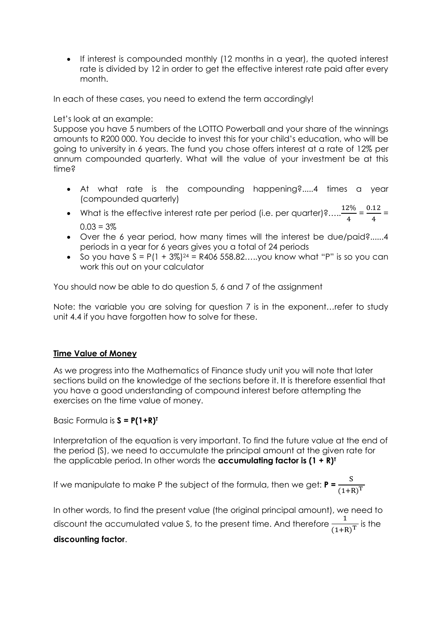• If interest is compounded monthly (12 months in a year), the quoted interest rate is divided by 12 in order to get the effective interest rate paid after every month.

In each of these cases, you need to extend the term accordingly!

## Let's look at an example:

Suppose you have 5 numbers of the LOTTO Powerball and your share of the winnings amounts to R200 000. You decide to invest this for your child's education, who will be going to university in 6 years. The fund you chose offers interest at a rate of 12% per annum compounded quarterly. What will the value of your investment be at this time?

- At what rate is the compounding happening?.....4 times a year (compounded quarterly)
- What is the effective interest rate per period (i.e. per quarter)?..... $\frac{12\%}{4} = \frac{0.12}{4}$  $\frac{12}{4}$  =  $0.03 = 3%$
- Over the 6 year period, how many times will the interest be due/paid?......4 periods in a year for 6 years gives you a total of 24 periods
- So you have  $S = P(1 + 3\%)^{24} = R406558.82....$  you know what "P" is so you can work this out on your calculator

You should now be able to do question 5, 6 and 7 of the assignment

Note: the variable you are solving for question 7 is in the exponent…refer to study unit 4.4 if you have forgotten how to solve for these.

# **Time Value of Money**

As we progress into the Mathematics of Finance study unit you will note that later sections build on the knowledge of the sections before it. It is therefore essential that you have a good understanding of compound interest before attempting the exercises on the time value of money.

Basic Formula is **S = P(1+R)<sup>T</sup>**

Interpretation of the equation is very important. To find the future value at the end of the period (S), we need to accumulate the principal amount at the given rate for the applicable period. In other words the **accumulating factor is (1 + R)<sup>T</sup>**

If we manipulate to make P the subject of the formula, then we get:  $P = \frac{S}{\sqrt{S}}$  $(1+R)^T$ 

In other words, to find the present value (the original principal amount), we need to discount the accumulated value S, to the present time. And therefore  $\frac{1}{\sqrt{1+\epsilon}}$  $\frac{1}{(1+R)^T}$  is the **discounting factor**.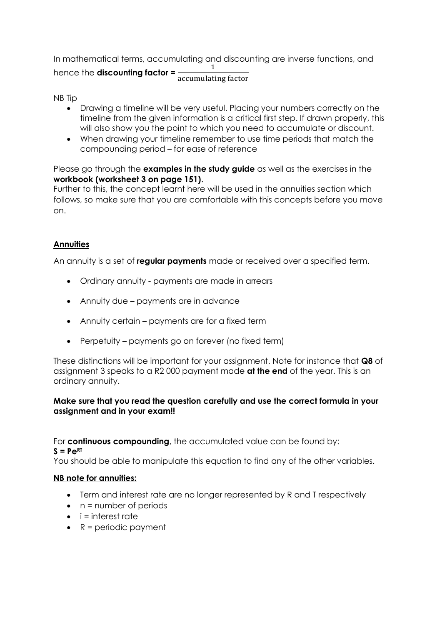In mathematical terms, accumulating and discounting are inverse functions, and hence the **discounting factor =**  $\frac{1}{1+i}$ accumulating factor

NB Tip

- Drawing a timeline will be very useful. Placing your numbers correctly on the timeline from the given information is a critical first step. If drawn properly, this will also show you the point to which you need to accumulate or discount.
- When drawing your timeline remember to use time periods that match the compounding period – for ease of reference

Please go through the **examples in the study guide** as well as the exercises in the **workbook (worksheet 3 on page 151)**.

Further to this, the concept learnt here will be used in the annuities section which follows, so make sure that you are comfortable with this concepts before you move on.

# **Annuities**

An annuity is a set of **regular payments** made or received over a specified term.

- Ordinary annuity payments are made in arrears
- Annuity due payments are in advance
- Annuity certain payments are for a fixed term
- Perpetuity payments go on forever (no fixed term)

These distinctions will be important for your assignment. Note for instance that **Q8** of assignment 3 speaks to a R2 000 payment made **at the end** of the year. This is an ordinary annuity.

## **Make sure that you read the question carefully and use the correct formula in your assignment and in your exam!!**

For **continuous compounding**, the accumulated value can be found by:  $S = P e^{RT}$ 

You should be able to manipulate this equation to find any of the other variables.

## **NB note for annuities:**

- Term and interest rate are no longer represented by R and T respectively
- $\bullet$  n = number of periods
- $\bullet$  i = interest rate
- $\bullet$   $R =$  periodic payment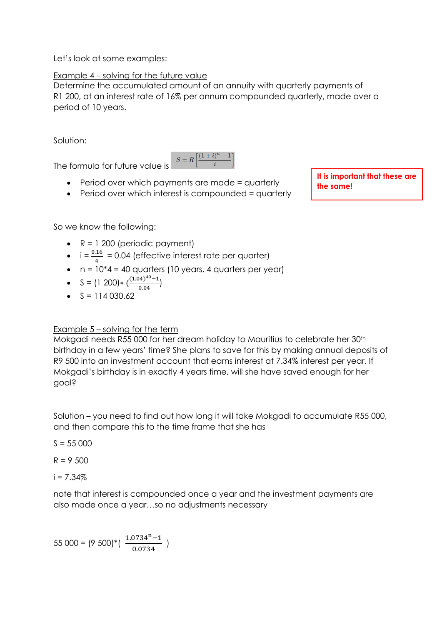Let's look at some examples:

# Example 4 – solving for the future value

Determine the accumulated amount of an annuity with quarterly payments of R1 200, at an interest rate of 16% per annum compounded quarterly, made over a period of 10 years.

Solution:

The formula for future value is  $S = R \left[ \frac{(1+i)^n - 1}{i} \right]$ 



• Period over which payments are made = quarterly

• Period over which interest is compounded = quarterly

**It is important that these are the same!**

So we know the following:

- $\cdot$   $R = 1200$  (periodic payment)
- $\bullet$  i =  $\frac{0.16}{4}$  = 0.04 (effective interest rate per quarter)
- $n = 10*4 = 40$  quarters (10 years, 4 quarters per year)
- $\bullet$  S = (1 200)\*  $\left(\frac{(1.04)^{40}-1}{0.04}\right)$  $\frac{1}{0.04}$
- $S = 114030.62$

# Example 5 – solving for the term

Mokgadi needs R55 000 for her dream holiday to Mauritius to celebrate her 30<sup>th</sup> birthday in a few years' time? She plans to save for this by making annual deposits of R9 500 into an investment account that earns interest at 7.34% interest per year. If Mokgadi's birthday is in exactly 4 years time, will she have saved enough for her goal?

Solution – you need to find out how long it will take Mokgadi to accumulate R55 000, and then compare this to the time frame that she has

 $S = 55000$ 

 $R = 9,500$ 

 $i = 7.34%$ 

note that interest is compounded once a year and the investment payments are also made once a year…so no adjustments necessary

 $55\,000 = (9\,500)^{*}$ (  $1.0734$ <sup>n</sup>−1  $\frac{0.0734}{0.0734}$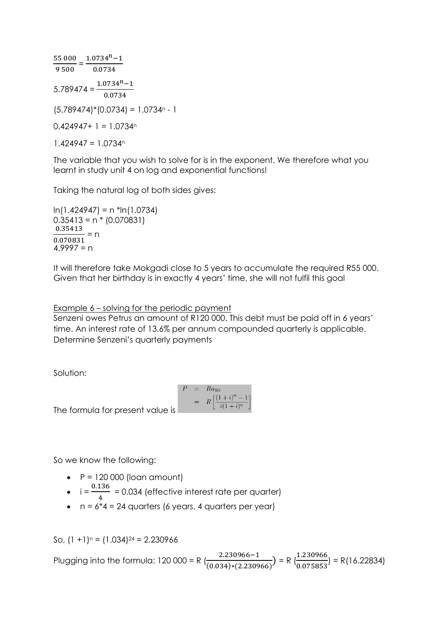55 000  $\frac{9500}{9500}$  =  $1.0734<sup>n</sup> - 1$ 0.0734  $5.789474 =$  $1.0734<sup>n</sup> - 1$ 0.0734  $(5.789474)*(0.0734) = 1.0734<sup>n</sup> - 1$  $0.424947 + 1 = 1.0734$ <sup>n</sup>  $1.424947 = 1.0734<sup>n</sup>$ 

The variable that you wish to solve for is in the exponent. We therefore what you learnt in study unit 4 on log and exponential functions!

Taking the natural log of both sides gives:

 $ln(1.424947) = n *ln(1.0734)$  $0.35413 = n * (0.070831)$  $\frac{0.35413}{0.058004}$  = n 0.070831  $4.9997 = n$ 

It will therefore take Mokgadi close to 5 years to accumulate the required R55 000. Given that her birthday is in exactly 4 years' time, she will not fulfil this goal

Example 6 – solving for the periodic payment

Senzeni owes Petrus an amount of R120 000. This debt must be paid off in 6 years' time. An interest rate of 13.6% per annum compounded quarterly is applicable. Determine Senzeni's quarterly payments

Solution:

$$
P = Ra_{\overline{n}i}
$$
  
= 
$$
R\left[\frac{(1+i)^n - 1}{i(1+i)^n}\right]
$$

The formula for present value is

So we know the following:

- $\bullet$   $P = 120000$  (loan amount)
- $\bullet$  i =  $\frac{0.136}{4}$  = 0.034 (effective interest rate per quarter)
- $n = 6*4 = 24$  quarters (6 years, 4 quarters per year)

So,  $(1 + 1)^n = (1.034)^{24} = 2.230966$ 

Plugging into the formula: 120 000 = R ( 2.230966−1  $\frac{2.230966-1}{(0.034)*(2.230966)}$ ) = R  $\left(\frac{1.230966}{0.075853}\right)$  $\left(\frac{2.288888}{0.075853}\right)$  = R(16.22834)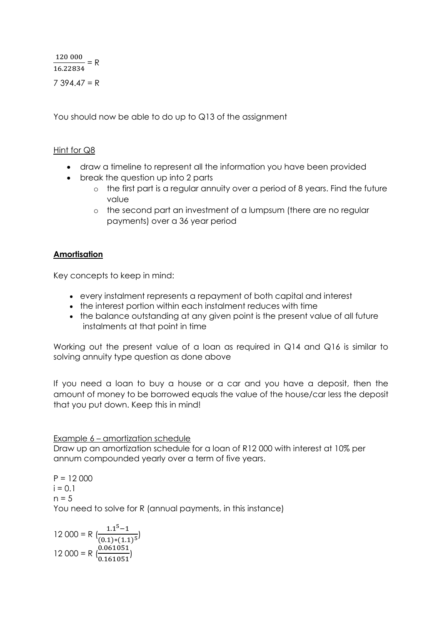120 000  $\frac{120000}{16.22834}$  = R  $7$  394.47 = R

You should now be able to do up to Q13 of the assignment

## Hint for Q8

- draw a timeline to represent all the information you have been provided
- break the question up into 2 parts
	- o the first part is a regular annuity over a period of 8 years. Find the future value
	- o the second part an investment of a lumpsum (there are no regular payments) over a 36 year period

## **Amortisation**

Key concepts to keep in mind:

- every instalment represents a repayment of both capital and interest
- the interest portion within each instalment reduces with time
- the balance outstanding at any given point is the present value of all future instalments at that point in time

Working out the present value of a loan as required in Q14 and Q16 is similar to solving annuity type question as done above

If you need a loan to buy a house or a car and you have a deposit, then the amount of money to be borrowed equals the value of the house/car less the deposit that you put down. Keep this in mind!

Example 6 – amortization schedule

Draw up an amortization schedule for a loan of R12 000 with interest at 10% per annum compounded yearly over a term of five years.

 $P = 12000$  $i = 0.1$  $n = 5$ You need to solve for R (annual payments, in this instance)

$$
12\ 000 = R\ \left(\frac{1.1^{5} - 1}{(0.1) * (1.1)^{5}}\right)
$$

$$
12\ 000 = R\ \left(\frac{0.061051}{0.161051}\right)
$$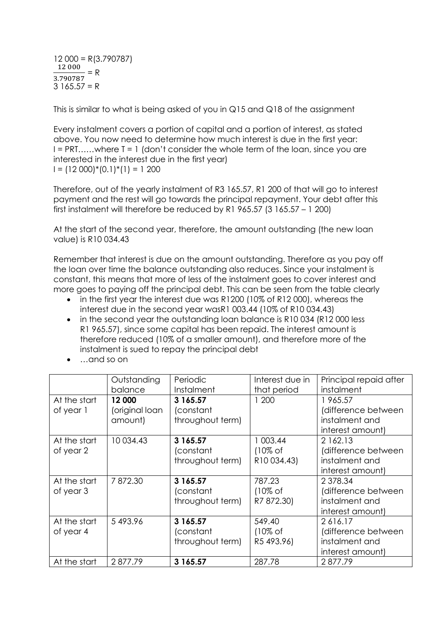12 000 = R(3.790787) 12 000 3.790787  $= R$  $3165.57 = R$ 

This is similar to what is being asked of you in Q15 and Q18 of the assignment

Every instalment covers a portion of capital and a portion of interest, as stated above. You now need to determine how much interest is due in the first year:  $I = PRT$ ......where  $I = 1$  (don't consider the whole term of the loan, since you are interested in the interest due in the first year)  $I = (12000)^*(0.1)^*(1) = 1200$ 

Therefore, out of the yearly instalment of R3 165.57, R1 200 of that will go to interest payment and the rest will go towards the principal repayment. Your debt after this first instalment will therefore be reduced by R1 965.57 (3 165.57 – 1 200)

At the start of the second year, therefore, the amount outstanding (the new loan value) is R10 034.43

Remember that interest is due on the amount outstanding. Therefore as you pay off the loan over time the balance outstanding also reduces. Since your instalment is constant, this means that more of less of the instalment goes to cover interest and more goes to paying off the principal debt. This can be seen from the table clearly

- in the first year the interest due was R1200 (10% of R12 000), whereas the interest due in the second year wasR1 003.44 (10% of R10 034.43)
- in the second year the outstanding loan balance is R10 034 (R12 000 less R1 965.57), since some capital has been repaid. The interest amount is therefore reduced (10% of a smaller amount), and therefore more of the instalment is sued to repay the principal debt
- …and so on

|              | Outstanding    | Periodic         | Interest due in     | Principal repaid after |
|--------------|----------------|------------------|---------------------|------------------------|
|              | balance        | Instalment       | that period         | instalment             |
| At the start | 12 000         | 3 165.57         | 1 200               | 1965.57                |
| of year 1    | (original loan | (constant        |                     | (difference between    |
|              | amount)        | throughout term) |                     | instalment and         |
|              |                |                  |                     | interest amount)       |
| At the start | 10 034.43      | 3 165.57         | 1 003.44            | 2 162.13               |
| of year 2    |                | (constant        | $(10\% \text{ of }$ | (difference between    |
|              |                | throughout term) | R10 034.43)         | instalment and         |
|              |                |                  |                     | interest amount)       |
| At the start | 7872.30        | 3 165.57         | 787.23              | 2 378.34               |
| of year 3    |                | (constant        | $(10\% \text{ of }$ | (difference between    |
|              |                | throughout term) | R7 872.30)          | instalment and         |
|              |                |                  |                     | interest amount)       |
| At the start | 5493.96        | 3 165.57         | 549.40              | 2616.17                |
| of year 4    |                | (constant        | (10% of             | (difference between    |
|              |                | throughout term) | R5 493.96)          | instalment and         |
|              |                |                  |                     | interest amount)       |
| At the start | 2877.79        | 3 165.57         | 287.78              | 2877.79                |